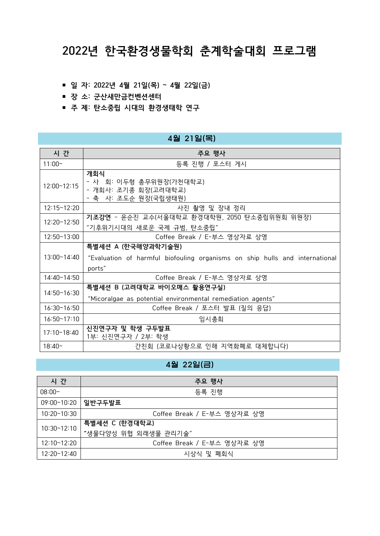# **2022년 한국환경생물학회 춘계학술대회 프로그램**

- **일 자: 2022년 4월 21일(목) ~ 4월 22일(금)**
- **장 소: 군산새만금컨벤션센터**
- **주 제: 탄소중립 시대의 환경생태학 연구**

### 4월 21일(목)

| 시 간                  | 주요 행사                                                                                                       |
|----------------------|-------------------------------------------------------------------------------------------------------------|
| $11:00 -$            | 등록 진행 / 포스터 게시                                                                                              |
| 12:00~12:15          | 개회식<br>- 사 회: 이두형 총무위원장(가천대학교)<br>- 개회사: 조기종 회장(고려대학교)<br>- 축 사: 조도순 원장(국립생태원)                              |
| 12:15~12:20          | 사진 촬영 및 장내 정리                                                                                               |
| 12:20~12:50          | 기조강연 - 윤순진 교수(서울대학교 환경대학원, 2050 탄소중립위원회 위원장)<br>"기후위기시대의 새로운 국제 규범, 탄소중립"                                   |
| 12:50~13:00          | Coffee Break / E-부스 영상자료 상영                                                                                 |
| 13:00~14:40          | 특별세션 A (한국해양과학기술원)<br>"Evaluation of harmful biofouling organisms on ship hulls and international<br>ports" |
| 14:40~14:50          | Coffee Break / E-부스 영상자료 상영                                                                                 |
| 14:50~16:30          | 특별세션 B (고려대학교 바이오매스 활용연구실)<br>"Micoralgae as potential environmental remediation agents"                    |
| $16:30 \times 16:50$ | Coffee Break / 포스터 발표 (질의 응답)                                                                               |
| 16:50~17:10          | 임시총회                                                                                                        |
| 17:10~18:40          | 신진연구자 및 학생 구두발표<br>1부: 신진연구자 / 2부: 학생                                                                       |
| $18:40-$             | 간친회 (코로나상황으로 인해 지역화폐로 대체합니다)                                                                                |

### 4월 22일(금)

| 시 간                | 주요 행사                       |
|--------------------|-----------------------------|
| $08:00-$           | 등록 진행                       |
| 09:00~10:20        | 일반구두발표                      |
| $10:20 \sim 10:30$ | Coffee Break / E-부스 영상자료 상영 |
| 10:30~12:10        | 특별세션 C (한경대학교)              |
|                    | "생물다양성 위협 외래생물 관리기술"        |
| 12:10~12:20        | Coffee Break / E-부스 영상자료 상영 |
| 12:20~12:40        | 시상식 및 폐회식                   |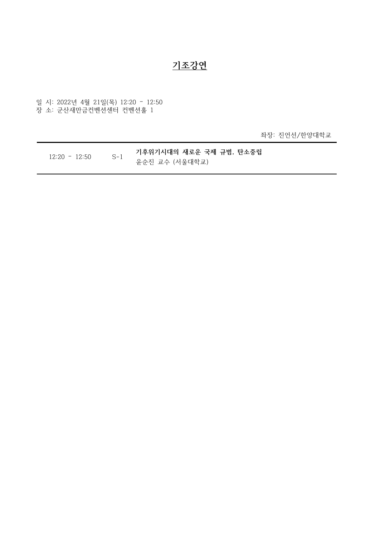### **기조강연**

일 시: 2022년 4월 21일(목) 12:20 – 12:50 장 소: 군산새만금컨벤션센터 컨벤션홀 1

좌장: 진언선/한양대학교

12:20 – 12:50 S-1 **기후위기시대의 새로운 국제 규범, 탄소중립** 윤순진 교수 (서울대학교)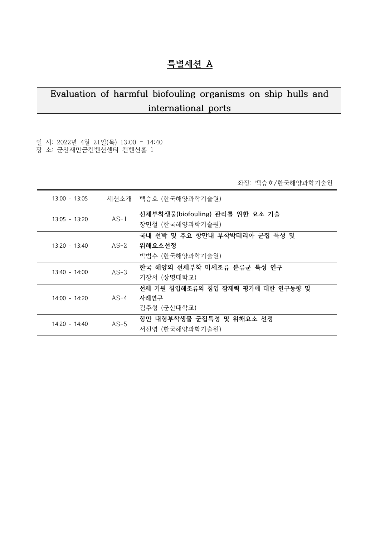## **특별세션 A**

# **Evaluation of harmful biofouling organisms on ship hulls and international ports**

### 일 시: 2022년 4월 21일(목) 13:00 – 14:40 장 소: 군산새만금컨벤션센터 컨벤션홀 1

좌장: 백승호/한국해양과학기술원

| $13:00 - 13:05$ |        | 세션소개 백승호 (한국해양과학기술원)                                       |
|-----------------|--------|------------------------------------------------------------|
| $13:05 - 13:20$ | $AS-1$ | 선체부착생물(biofouling) 관리를 위한 요소 기술<br>장민철 (한국해양과학기술원)         |
| $13:20 - 13:40$ | AS-2   | 국내 선박 및 주요 항만내 부착박테리아 군집 특성 및<br>위해요소선정<br>박범수 (한국해양과학기술원) |
| $13:40 - 14:00$ | $AS-3$ | 한국 해양의 선체부착 미세조류 분류군 특성 연구<br>기장서 (상명대학교)                  |
| $14:00 - 14:20$ | $AS-4$ | 선체 기원 침입해조류의 침입 잠재력 평가에 대한 연구동향 및<br>사례연구<br>김주형 (군산대학교)   |
| $14:20 - 14:40$ | $AS-5$ | 항만 대형부착생물 군집특성 및 위해요소 선정<br>서진영 (한국해양과학기술원)                |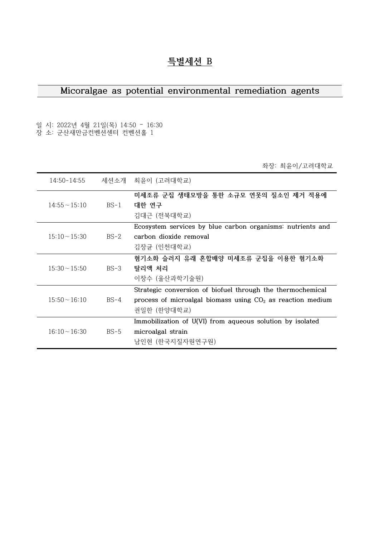## **특별세션 B**

### **Micoralgae as potential environmental remediation agents**

일 시: 2022년 4월 21일(목) 14:50 – 16:30 장 소: 군산새만금컨벤션센터 컨벤션홀 1

좌장: 최윤이/고려대학교

| 14:50-14:55        |        | 세션소개 최유이 (고려대학교)                                                                                                                          |
|--------------------|--------|-------------------------------------------------------------------------------------------------------------------------------------------|
| $14:55 \sim 15:10$ | $BS-1$ | 미세조류 군집 생태모방을 통한 소규모 연못의 질소인 제거 적용에<br>대한 연구<br>김대근 (전북대학교)                                                                               |
| $15:10 \sim 15:30$ | $BS-2$ | Ecosystem services by blue carbon organisms: nutrients and<br>carbon dioxide removal<br>김장균 (인천대학교)                                       |
| $15:30 \sim 15:50$ | $BS-3$ | 혐기소화 슬러지 유래 혼합배양 미세조류 군집을 이용한 혐기소화<br>탈리액 처리<br>이창수 (울산과학기술원)                                                                             |
| $15:50 \sim 16:10$ | $BS-4$ | Strategic conversion of biofuel through the thermochemical<br>process of microalgal biomass using $CO2$ as reaction medium<br>권일한 (한양대학교) |
| $16:10 \sim 16:30$ | $BS-5$ | Immobilization of U(VI) from aqueous solution by isolated<br>microalgal strain<br>남인현 (한국지질자원연구원)                                         |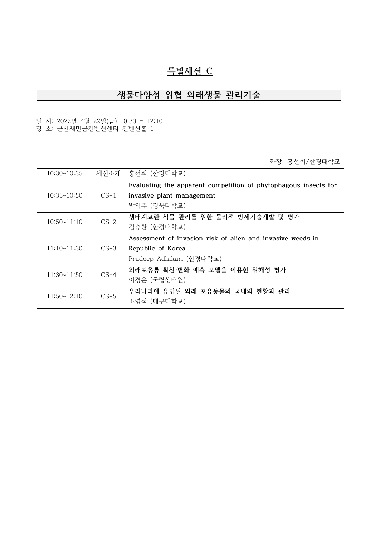### **특별세션 C**

# **생물다양성 위협 외래생물 관리기술**

일 시: 2022년 4월 22일(금) 10:30 – 12:10 장 소: 군산새만금컨벤션센터 컨벤션홀 1

좌장: 홍선희/한경대학교

| $10:30 \times 10:35$ |        | 세션소개 홍선희 (한경대학교)                                                |
|----------------------|--------|-----------------------------------------------------------------|
|                      |        | Evaluating the apparent competition of phytophagous insects for |
| $10:35 \sim 10:50$   | $CS-1$ | invasive plant management                                       |
|                      |        | 박익주 (경북대학교)                                                     |
| $10:50 \times 11:10$ | $CS-2$ | 생태계교란 식물 관리를 위한 물리적 방제기술개발 및 평가                                 |
|                      |        | 김승환 (한경대학교)                                                     |
|                      |        | Assessment of invasion risk of alien and invasive weeds in      |
| $11:10 \times 11:30$ | $CS-3$ | Republic of Korea                                               |
|                      |        | Pradeep Adhikari (한경대학교)                                        |
| $11:30 \times 11:50$ | $CS-4$ | 외래포유류 확산·변화 예측 모델을 이용한 위해성 평가                                   |
|                      |        | 이경은 (국립생태원)                                                     |
| 11:50~12:10          | $CS-5$ | 우리나라에 유입된 외래 포유동물의 국내외 현황과 관리                                   |
|                      |        | 조영석 (대구대학교)                                                     |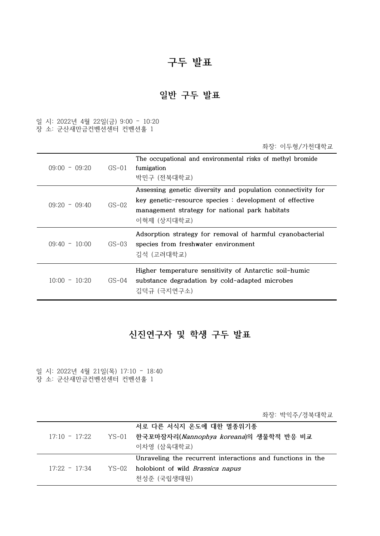# **구두 발표**

## **일반 구두 발표**

일 시: 2022년 4월 22일(금) 9:00 – 10:20 장 소: 군산새만금컨벤션센터 컨벤션홀 1

|                 |         | 좌장: 이두형/가천대학교                                                                                                                                                                           |
|-----------------|---------|-----------------------------------------------------------------------------------------------------------------------------------------------------------------------------------------|
| $09:00 - 09:20$ | GS-01   | The occupational and environmental risks of methyl bromide<br>fumigation<br>박민구 (전북대학교)                                                                                                 |
| $09:20 - 09:40$ | $GS-02$ | Assessing genetic diversity and population connectivity for<br>key genetic-resource species : development of effective<br>management strategy for national park habitats<br>이혁제 (상지대학교) |
| $09:40 - 10:00$ | GS-03   | Adsorption strategy for removal of harmful cyanobacterial<br>species from freshwater environment<br>김석 (고려대학교)                                                                          |
| $10:00 - 10:20$ | $GS-04$ | Higher temperature sensitivity of Antarctic soil-humic<br>substance degradation by cold-adapted microbes<br>김덕규 (극지연구소)                                                                 |

### **신진연구자 및 학생 구두 발표**

일 시: 2022년 4월 21일(목) 17:10 – 18:40 장 소: 군산새만금컨벤션센터 컨벤션홀 1

좌장: 박익주/경북대학교

|                 | 서로 다른 서식지 온도에 대한 멸종위기종                                     |
|-----------------|------------------------------------------------------------|
| $17:10 - 17:22$ | YS-01 한국꼬마잠자리(Nannophya koreana)의 생물학적 반응 비교               |
|                 | 이차영 (삼육대학교)                                                |
|                 | Unraveling the recurrent interactions and functions in the |
| $17:22 - 17:34$ | YS-02 holobiont of wild <i>Brassica napus</i>              |
|                 | 천성준 (국립생태원)                                                |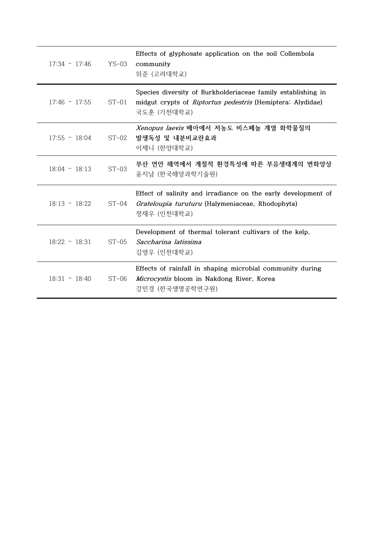| $17:34 - 17:46$ | YS-03   | Effects of glyphosate application on the soil Collembola<br>community<br>위준 (고려대학교)                                                              |
|-----------------|---------|--------------------------------------------------------------------------------------------------------------------------------------------------|
| $17:46 - 17:55$ | $ST-01$ | Species diversity of Burkholderiaceae family establishing in<br>midgut crypts of <i>Riptortus pedestris</i> (Hemiptera: Alydidae)<br>국도훈 (가천대학교) |
| $17:55 - 18:04$ | $ST-02$ | Xenopus laevis 배아에서 저농도 비스페놀 계열 화학물질의<br>발생독성 및 내분비교란효과<br>이제니 (한양대학교)                                                                           |
| $18:04 - 18:13$ | $ST-03$ | 부산 연안 해역에서 계절적 환경특성에 따른 부유생태계의 변화양상<br>윤지남 (한국해양과학기술원)                                                                                           |
| $18:13 - 18:22$ | $ST-04$ | Effect of salinity and irradiance on the early development of<br>Grateloupia turuturu (Halymeniaceae, Rhodophyta)<br>정재우 (인천대학교)                 |
| $18:22 - 18:31$ | $ST-05$ | Development of thermal tolerant cultivars of the kelp,<br>Saccharina latissima<br>김영우 (인천대학교)                                                    |
| $18:31 - 18:40$ | $ST-06$ | Effects of rainfall in shaping microbial community during<br>Microcystis bloom in Nakdong River, Korea<br>강민경 (한국생명공학연구원)                        |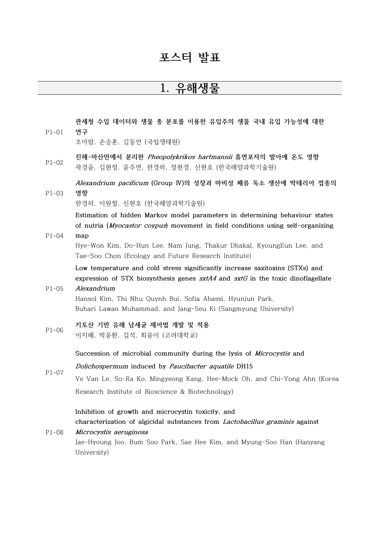### **포스터 발표**

# **1. 유해생물**

P1-01 **관세청 수입 데이터와 생물 종 분포를 이용한 유입주의 생물 국내 유입 가능성에 대한 연구**

조아람, 손승훈, 김동언 (국립생태원)

P1-02 **진해-마산만에서 분리한 Pheopolykrikos hartmannii 휴면포자의 발아에 온도 영향** 곽경윤, 김현정, 윤주연, 한경하, 정현경, 신현호 (한국해양과학기술원)

P1-03 **Alexandrium pacificum (Group Ⅳ)의 성장과 마비성 패류 독소 생산에 박테리아 접종의 영향**

한경하, 이원철, 신현호 (한국해양과학기술원)

**Estimation of hidden Markov model parameters in determining behaviour states of nutria (Myocastor coypus) movement in field conditions using self-organizing** 

#### P1-04 **map**

Hye-Won Kim, Do-Hun Lee, Nam Jung, Thakur Dhakal, KyoungEun Lee, and Tae-Soo Chon (Ecology and Future Research Institute)

**Low temperature and cold stress significantly increase saxitoxins (STXs) and expression of STX biosynthesis genes sxtA4 and sxtG in the toxic dinoflagellate Alexandrium**

### $P1 - 05$

Hansol Kim, Thi Nhu Quynh Bui, Sofia Abassi, Hyunjun Park, Buhari Lawan Muhammad, and Jang-Seu Ki (Sangmyung University)

#### P1-06 **키토산 기반 유해 남세균 제어법 개발 및 적용** 이지혜, 박윤환, 김석, 최윤이 (고려대학교)

**Succession of microbial community during the lysis of Microcystis and** 

P1-07 **Dolichospermum induced by Paucibacter aquatile DH15** Ve Van Le, So-Ra Ko, Mingyeong Kang, Hee-Mock Oh, and Chi-Yong Ahn (Korea Research Institute of Bioscience & Biotechnology)

### **Inhibition of growth and microcystin toxicity, and characterization of algicidal substances from Lactobacillus graminis against**

P1-08 **Microcystis aeruginosa** Jae-Hyoung Joo, Bum Soo Park, Sae Hee Kim, and Myung-Soo Han (Hanyang University)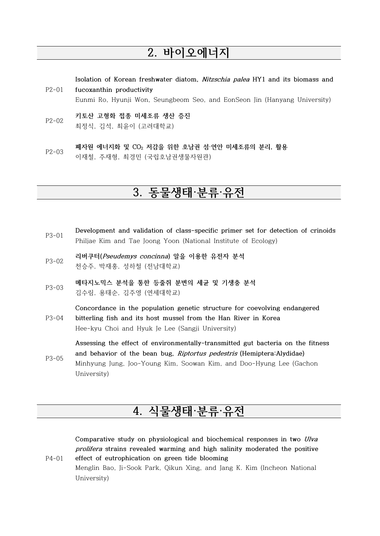# **2. 바이오에너지**

**Isolation of Korean freshwater diatom, Nitzschia palea HY1 and its biomass and** 

- P2-01 **fucoxanthin productivity**  Eunmi Ro, Hyunji Won, Seungbeom Seo, and EonSeon Jin (Hanyang University)
- P2-02 **키토산 고형화 접종 미세조류 생산 증진** 최정식, 김석, 최윤이 (고려대학교)
- P2-03 **폐자원 에너지화 및 CO<sup>2</sup> 저감을 위한 호남권 섬·연안 미세조류의 분리, 활용** 이재철, 주재형, 최경민 (국립호남권생물자원관)

# **3. 동물생태·분류·유전**

- P3-01 **Development and validation of class-specific primer set for detection of crinoids** Philjae Kim and Tae Joong Yoon (National Institute of Ecology)
- P3-02 **리버쿠터(Pseudemys concinna) 알을 이용한 유전자 분석** 천승주, 박재홍, 성하철 (전남대학교)
- P3-03 **메타지노믹스 분석을 통한 등줄쥐 분변의 세균 및 기생충 분석** 김수림, 용태순, 김주영 (연세대학교)

P3-04 **Concordance in the population genetic structure for coevolving endangered bitterling fish and its host mussel from the Han River in Korea**

Hee-kyu Choi and Hyuk Je Lee (Sangji University)

P4-01

**Assessing the effect of environmentally-transmitted gut bacteria on the fitness and behavior of the bean bug, Riptortus pedestris (Hemiptera:Alydidae)**

P3-05 Minhyung Jung, Joo-Young Kim, Soowan Kim, and Doo-Hyung Lee (Gachon University)

# **4. 식물생태·분류·유전**

**Comparative study on physiological and biochemical responses in two Ulva prolifera strains revealed warming and high salinity moderated the positive effect of eutrophication on green tide blooming**

Menglin Bao, Ji-Sook Park, Qikun Xing, and Jang K. Kim (Incheon National University)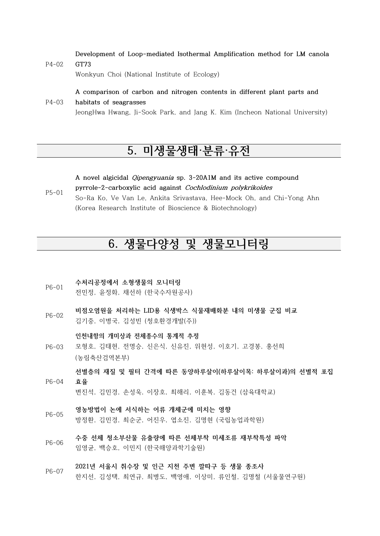P4-02 **Development of Loop-mediated Isothermal Amplification method for LM canola GT73**

Wonkyun Choi (National Institute of Ecology)

#### **A comparison of carbon and nitrogen contents in different plant parts and**

#### P4-03 **habitats of seagrasses** JeongHwa Hwang, Ji-Sook Park, and Jang K. Kim (Incheon National University)

# **5. 미생물생태·분류·유전**

P5-01 **A novel algicidal Qipengyuania sp. 3-20A1M and its active compound pyrrole-2-carboxylic acid against Cochlodinium polykrikoides** So-Ra Ko, Ve Van Le, Ankita Srivastava, Hee-Mock Oh, and Chi-Yong Ahn (Korea Research Institute of Bioscience & Biotechnology)

# **6. 생물다양성 및 생물모니터링**

- P6-01 **수처리공정에서 소형생물의 모니터링** 전민정, 윤정화, 채선하 (한국수자원공사)
- P6-02 **비점오염원을 처리하는 LID용 식생박스 식물재배화분 내의 미생물 군집 비교** 김기중, 이병국, 김성빈 (청호환경개발(주))

**인천내항의 개미상과 전체종수의 통계적 추정**

P6-03 모형호, 김태현, 전명승, 신은식, 신유진, 위현성, 이호기, 고경봉, 홍선희 (농림축산검역본부)

P6-04 **선별층의 재질 및 필터 간격에 따른 동양하루살이(하루살이목: 하루살이과)의 선별적 포집 효율** 

변진석, 김민경, 손성욱, 이장호, 최해리, 이훈복, 김동건 (삼육대학교)

- P6-05 **영농방법이 논에 서식하는 어류 개체군에 미치는 영향** 방정환, 김민경, 최순군, 어진우, 엽소진, 김명현 (국립농업과학원)
- P6-06 **수중 선체 청소부산물 유출량에 따른 선체부착 미세조류 재부착특성 파악** 임영균, 백승호, 이민지 (한국해양과학기술원)
- P6-07 **2021년 서울시 취수장 및 인근 지천 주변 깔따구 등 생물 종조사** 한지선, 김성택, 최연규, 최병도, 백영애, 이상미, 류인철, 김명철 (서울물연구원)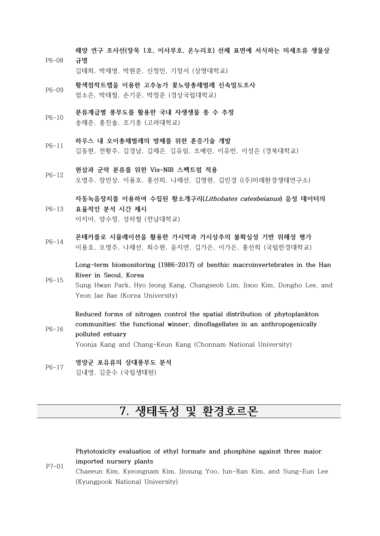**해양 연구 조사선(장목 1호, 이사부호, 온누리호) 선체 표면에 서식하는 미세조류 생물상** 

- P6-08 **규명** 김태희, 박재영, 박현준, 신정민, 기장서 (상명대학교)
- P6-09 **황색점착트랩을 이용한 고추농가 꽃노랑총채벌레 신속밀도조사** 엄소은, 박태철, 손기문, 박정준 (경상국립대학교)
- P6-10 **분류계급별 풍부도를 활용한 국내 자생생물 종 수 추정**
	- 송재준, 홍진솔, 조기종 (고려대학교)
- P6-11 **하우스 내 오이총채벌레의 방제를 위한 훈증기술 개발** 김동현, 전황주, 김경남, 김채은, 김유림, 조예린, 이유빈, 이성은 (경북대학교)
- P6-12 **현삼과 군락 분류를 위한 Vis-NIR 스펙트럼 적용** 오영주, 장민상, 이용호, 홍선희, 나채선, 김명현, 김민경 ((주)미래환경생태연구소)

#### P6-13 **자동녹음장치를 이용하여 수집된 황소개구리(Lithobates catesbeianus) 음성 데이터의 효율적인 분석 시간 제시** 이지아, 양수정, 성하철 (전남대학교)

P6-14 **몬테카를로 시뮬레이션을 활용한 가시박과 가시상추의 불확실성 기반 위해성 평가** 이용호, 오영주, 나채선, 최수현, 윤지연, 김가은, 이가은, 홍선희 (국립한경대학교)

**Long-term biomonitoring (1986-2017) of benthic macroinvertebrates in the Han River in Seoul, Korea**

- P6-15 Sung Hwan Park, Hyo Jeong Kang, Changseob Lim, Jisoo Kim, Dongho Lee, and Yeon Jae Bae (Korea University)
- P6-16 **Reduced forms of nitrogen control the spatial distribution of phytoplankton communities: the functional winner, dinoflagellates in an anthropogenically polluted estuary** Yoonja Kang and Chang-Keun Kang (Chonnam National University)
- P6-17 **영양군 포유류의 상대풍부도 분석** 김내영, 김준수 (국립생태원)

# **7. 생태독성 및 환경호르몬**

P7-01 **Phytotoxicity evaluation of ethyl formate and phosphine against three major imported nursery plants** Chaeeun Kim, Kyeongnam Kim, Jinsung Yoo, Jun-Ran Kim, and Sung-Eun Lee (Kyungpook National University)